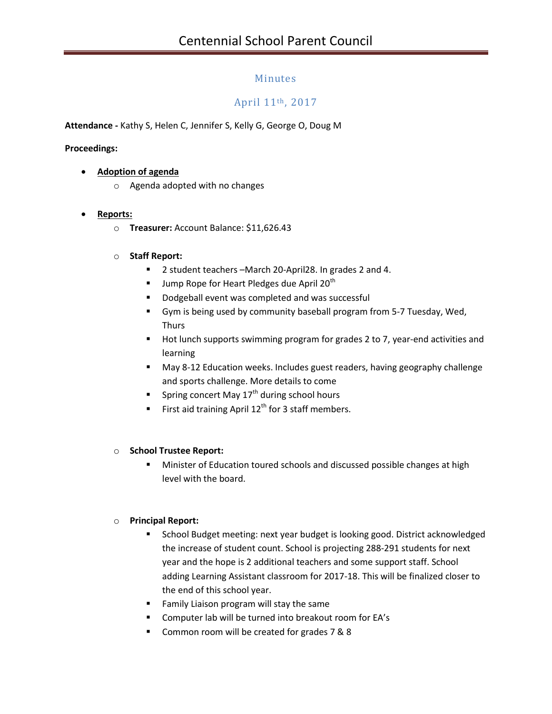## Minutes

# April 11th, 2017

**Attendance -** Kathy S, Helen C, Jennifer S, Kelly G, George O, Doug M

#### **Proceedings:**

#### **Adoption of agenda**

o Agenda adopted with no changes

#### **Reports:**

o **Treasurer:** Account Balance: \$11,626.43

#### o **Staff Report:**

- 2 student teachers –March 20-April28. In grades 2 and 4.
- **Jump Rope for Heart Pledges due April 20<sup>th</sup>**
- Dodgeball event was completed and was successful
- Gym is being used by community baseball program from 5-7 Tuesday, Wed, **Thurs**
- Hot lunch supports swimming program for grades 2 to 7, year-end activities and learning
- May 8-12 Education weeks. Includes guest readers, having geography challenge and sports challenge. More details to come
- **Spring concert May 17<sup>th</sup> during school hours**
- First aid training April  $12<sup>th</sup>$  for 3 staff members.

#### o **School Trustee Report:**

 Minister of Education toured schools and discussed possible changes at high level with the board.

#### o **Principal Report:**

- **School Budget meeting: next year budget is looking good. District acknowledged** the increase of student count. School is projecting 288-291 students for next year and the hope is 2 additional teachers and some support staff. School adding Learning Assistant classroom for 2017-18. This will be finalized closer to the end of this school year.
- **Family Liaison program will stay the same**
- Computer lab will be turned into breakout room for EA's
- Common room will be created for grades 7 & 8